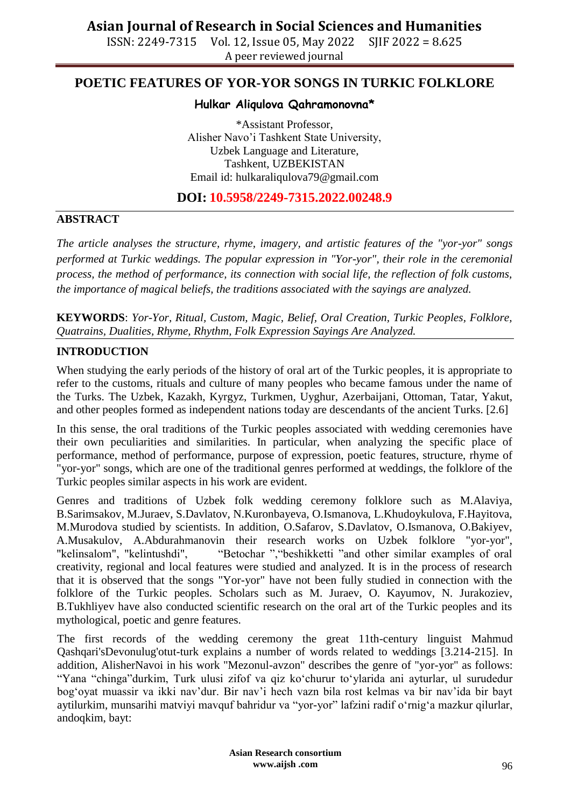ISSN: 2249-7315 Vol. 12, Issue 05, May 2022 SJIF 2022 = 8.625 A peer reviewed journal

### **POETIC FEATURES OF YOR-YOR SONGS IN TURKIC FOLKLORE**

#### **Hulkar Aliqulova Qahramonovna\***

\*Assistant Professor, Alisher Navo"i Tashkent State University, Uzbek Language and Literature, Tashkent, UZBEKISTAN Email id: [hulkaraliqulova79@gmail.com](mailto:hulkaraliqulova79@gmail.com)

### **DOI: 10.5958/2249-7315.2022.00248.9**

#### **ABSTRACT**

*The article analyses the structure, rhyme, imagery, and artistic features of the "yor-yor" songs performed at Turkic weddings. The popular expression in "Yor-yor", their role in the ceremonial process, the method of performance, its connection with social life, the reflection of folk customs, the importance of magical beliefs, the traditions associated with the sayings are analyzed.*

**KEYWORDS**: *Yor-Yor, Ritual, Custom, Magic, Belief, Oral Creation, Turkic Peoples, Folklore, Quatrains, Dualities, Rhyme, Rhythm, Folk Expression Sayings Are Analyzed.*

#### **INTRODUCTION**

When studying the early periods of the history of oral art of the Turkic peoples, it is appropriate to refer to the customs, rituals and culture of many peoples who became famous under the name of the Turks. The Uzbek, Kazakh, Kyrgyz, Turkmen, Uyghur, Azerbaijani, Ottoman, Tatar, Yakut, and other peoples formed as independent nations today are descendants of the ancient Turks. [2.6]

In this sense, the oral traditions of the Turkic peoples associated with wedding ceremonies have their own peculiarities and similarities. In particular, when analyzing the specific place of performance, method of performance, purpose of expression, poetic features, structure, rhyme of "yor-yor" songs, which are one of the traditional genres performed at weddings, the folklore of the Turkic peoples similar aspects in his work are evident.

Genres and traditions of Uzbek folk wedding ceremony folklore such as M.Alaviya, B.Sarimsakov, M.Juraev, S.Davlatov, N.Kuronbayeva, O.Ismanova, L.Khudoykulova, F.Hayitova, M.Murodova studied by scientists. In addition, O.Safarov, S.Davlatov, O.Ismanova, O.Bakiyev, A.Musakulov, A.Abdurahmanovin their research works on Uzbek folklore "yor-yor", "kelinsalom", "kelintushdi", "Betochar ", "beshikketti "and other similar examples of oral creativity, regional and local features were studied and analyzed. It is in the process of research that it is observed that the songs "Yor-yor" have not been fully studied in connection with the folklore of the Turkic peoples. Scholars such as M. Juraev, O. Kayumov, N. Jurakoziev, B.Tukhliyev have also conducted scientific research on the oral art of the Turkic peoples and its mythological, poetic and genre features.

The first records of the wedding ceremony the great 11th-century linguist Mahmud Qashqari'sDevonulug'otut-turk explains a number of words related to weddings [3.214-215]. In addition, AlisherNavoi in his work "Mezonul-avzon" describes the genre of "yor-yor" as follows: "Yana "chinga"durkim, Turk ulusi zifof va qiz ko"churur to"ylarida ani ayturlar, ul surudedur bog"oyat muassir va ikki nav"dur. Bir nav"i hech vazn bila rost kelmas va bir nav"ida bir bayt aytilurkim, munsarihi matviyi mavquf bahridur va "yor-yor" lafzini radif oʻrnigʻa mazkur qilurlar, andoqkim, bayt: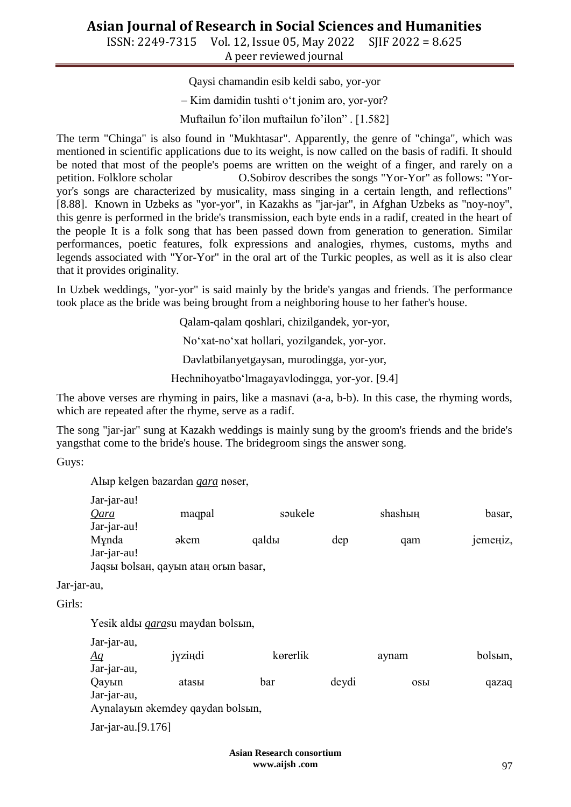## **Asian Journal of Research in Social Sciences and Humanities**

ISSN: 2249-7315 Vol. 12, Issue 05, May 2022 SJIF 2022 = 8.625 A peer reviewed journal

Qaysi chamandin esib keldi sabo, yor-yor

– Kim damidin tushti o"t jonim aro, yor-yor?

Muftailun fo'ilon muftailun fo'ilon" . [1.582]

The term "Chinga" is also found in "Mukhtasar". Apparently, the genre of "chinga", which was mentioned in scientific applications due to its weight, is now called on the basis of radifi. It should be noted that most of the people's poems are written on the weight of a finger, and rarely on a petition. Folklore scholar O.Sobirov describes the songs "Yor-Yor" as follows: "Yoryor's songs are characterized by musicality, mass singing in a certain length, and reflections" [8.88]. Known in Uzbeks as "yor-yor", in Kazakhs as "jar-jar", in Afghan Uzbeks as "noy-noy", this genre is performed in the bride's transmission, each byte ends in a radif, created in the heart of the people It is a folk song that has been passed down from generation to generation. Similar performances, poetic features, folk expressions and analogies, rhymes, customs, myths and legends associated with "Yor-Yor" in the oral art of the Turkic peoples, as well as it is also clear that it provides originality.

In Uzbek weddings, "yor-yor" is said mainly by the bride's yangas and friends. The performance took place as the bride was being brought from a neighboring house to her father's house.

Qalam-qalam qoshlari, chizilgandek, yor-yor,

No"xat-no"xat hollari, yozilgandek, yor-yor.

Davlatbilanyetgaysan, murodingga, yor-yor,

Hechnihoyatbo"lmagayavlodingga, yor-yor. [9.4]

The above verses are rhyming in pairs, like a masnavi (a-a, b-b). In this case, the rhyming words, which are repeated after the rhyme, serve as a radif.

The song "jar-jar" sung at Kazakh weddings is mainly sung by the groom's friends and the bride's yangsthat come to the bride's house. The bridegroom sings the answer song.

Guys:

Alыp kelgen bazardan *qara* nөser,

| Jar-jar-au! |                                      |         |     |         |                        |
|-------------|--------------------------------------|---------|-----|---------|------------------------|
| Qara        | maqpal                               | saukele |     | shashың | basar,                 |
| Jar-jar-au! |                                      |         |     |         |                        |
| Mynda       | $\alpha$                             | qaldы   | dep | qam     | $\varepsilon$ emergiz, |
| Jar-jar-au! |                                      |         |     |         |                        |
|             | Jaqsы bolsaң, qayыn ataң оғып basar, |         |     |         |                        |

Jar-jar-au,

Girls:

Yesіk aldы *qara*su maydan bolsыn,

| Jar-jar-au, |                                  |          |       |       |         |
|-------------|----------------------------------|----------|-------|-------|---------|
| Aq          | jyzindi                          | korerlik |       | aynam | bolsыn, |
| Jar-jar-au, |                                  |          |       |       |         |
| Qayыn       | atasы                            | bar      | deydi | OSЫ   | qazaq   |
| Jar-jar-au, |                                  |          |       |       |         |
|             | Aynalayыn əkemdey qaydan bolsыn, |          |       |       |         |
|             |                                  |          |       |       |         |

Jar-jar-au.[9.176]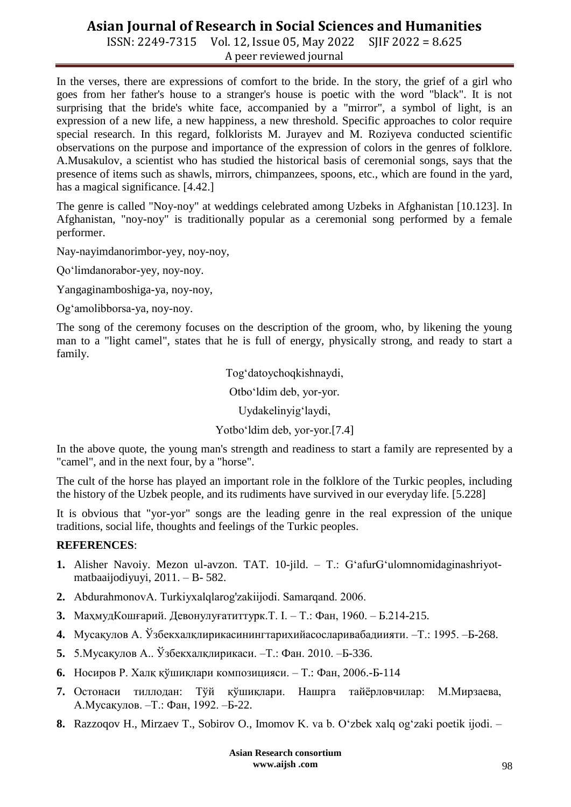## **Asian Journal of Research in Social Sciences and Humanities**

ISSN: 2249-7315 Vol. 12, Issue 05, May 2022 SJIF 2022 = 8.625 A peer reviewed journal

In the verses, there are expressions of comfort to the bride. In the story, the grief of a girl who goes from her father's house to a stranger's house is poetic with the word "black". It is not surprising that the bride's white face, accompanied by a "mirror", a symbol of light, is an expression of a new life, a new happiness, a new threshold. Specific approaches to color require special research. In this regard, folklorists M. Jurayev and M. Roziyeva conducted scientific observations on the purpose and importance of the expression of colors in the genres of folklore. A.Musakulov, a scientist who has studied the historical basis of ceremonial songs, says that the presence of items such as shawls, mirrors, chimpanzees, spoons, etc., which are found in the yard, has a magical significance. [4.42.]

The genre is called "Noy-noy" at weddings celebrated among Uzbeks in Afghanistan [10.123]. In Afghanistan, "noy-noy" is traditionally popular as a ceremonial song performed by a female performer.

Nay-nayimdanorimbor-yey, noy-noy,

Qo"limdanorabor-yey, noy-noy.

Yangaginamboshiga-ya, noy-noy,

Og"amolibborsa-ya, noy-noy.

The song of the ceremony focuses on the description of the groom, who, by likening the young man to a "light camel", states that he is full of energy, physically strong, and ready to start a family.

Tog"datoychoqkishnaydi,

Otbo"ldim deb, yor-yor.

Uydakelinyig"laydi,

Yotbo'ldim deb, yor-yor.[7.4]

In the above quote, the young man's strength and readiness to start a family are represented by a "camel", and in the next four, by a "horse".

The cult of the horse has played an important role in the folklore of the Turkic peoples, including the history of the Uzbek people, and its rudiments have survived in our everyday life. [5.228]

It is obvious that "yor-yor" songs are the leading genre in the real expression of the unique traditions, social life, thoughts and feelings of the Turkic peoples.

#### **REFERENCES**:

- **1.** Alisher Navoiy. Mezon ul-avzon. TAT. 10-jild. T.: G"afurG"ulomnomidaginashriyotmatbaaijodiyuyi, 2011. – B- 582.
- **2.** AbdurahmonovА. Turkiyxalqlarog'zakiijodi. Samarqand. 2006.
- **3.** МаҳмудКошғарий. Девонулуғатиттурк.Т. І. Т.: Фан, 1960. Б.214-215.
- **4.** Мусақулов А. Ўзбекхалқлирикасинингтарихийасосларивабадиияти. –Т.: 1995. –Б-268.
- **5.** 5.Мусақулов А.. Ўзбекхалқлирикаси. –Т.: Фан. 2010. –Б-336.
- **6.** Носиров Р. Халқ қўшиқлари композицияси. Т.: Фан, 2006.-Б-114
- **7.** Остонаси тиллодан: Тўй қўшиқлари. Нашрга тайёрловчилар: М.Мирзаева, А.Мусақулов. –Т.: Фан, 1992. –Б-22.
- 8. Razzoqov H., Mirzaev T., Sobirov O., Imomov K. va b. O'zbek xalq og'zaki poetik ijodi. –